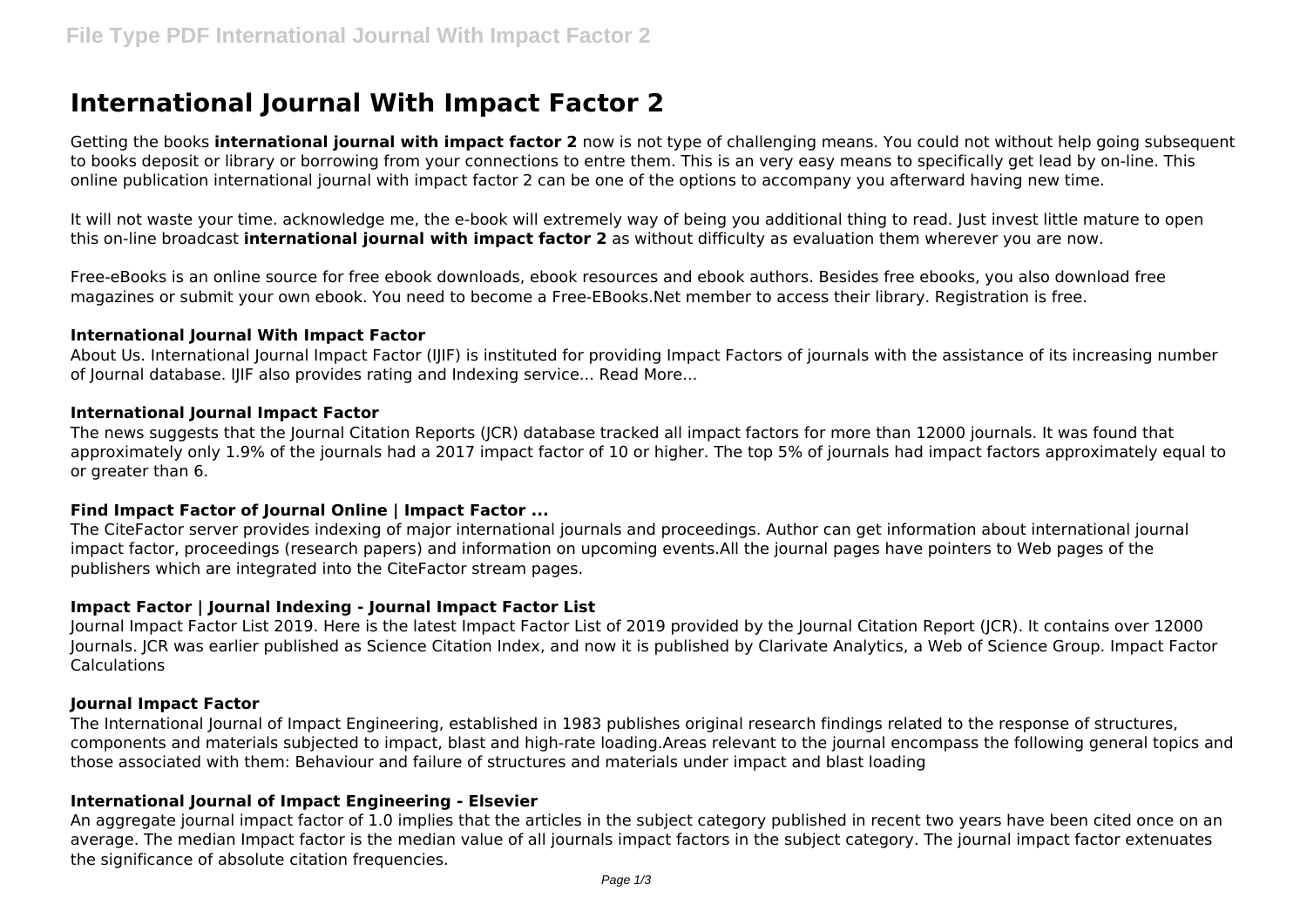# **International Journal With Impact Factor 2**

Getting the books **international journal with impact factor 2** now is not type of challenging means. You could not without help going subsequent to books deposit or library or borrowing from your connections to entre them. This is an very easy means to specifically get lead by on-line. This online publication international journal with impact factor 2 can be one of the options to accompany you afterward having new time.

It will not waste your time. acknowledge me, the e-book will extremely way of being you additional thing to read. Just invest little mature to open this on-line broadcast **international journal with impact factor 2** as without difficulty as evaluation them wherever you are now.

Free-eBooks is an online source for free ebook downloads, ebook resources and ebook authors. Besides free ebooks, you also download free magazines or submit your own ebook. You need to become a Free-EBooks.Net member to access their library. Registration is free.

#### **International Journal With Impact Factor**

About Us. International Journal Impact Factor (IJIF) is instituted for providing Impact Factors of journals with the assistance of its increasing number of Journal database. IJIF also provides rating and Indexing service... Read More...

### **International Journal Impact Factor**

The news suggests that the Journal Citation Reports (JCR) database tracked all impact factors for more than 12000 journals. It was found that approximately only 1.9% of the journals had a 2017 impact factor of 10 or higher. The top 5% of journals had impact factors approximately equal to or greater than 6.

### **Find Impact Factor of Journal Online | Impact Factor ...**

The CiteFactor server provides indexing of major international journals and proceedings. Author can get information about international journal impact factor, proceedings (research papers) and information on upcoming events.All the journal pages have pointers to Web pages of the publishers which are integrated into the CiteFactor stream pages.

### **Impact Factor | Journal Indexing - Journal Impact Factor List**

Journal Impact Factor List 2019. Here is the latest Impact Factor List of 2019 provided by the Journal Citation Report (JCR). It contains over 12000 Journals. JCR was earlier published as Science Citation Index, and now it is published by Clarivate Analytics, a Web of Science Group. Impact Factor Calculations

### **Journal Impact Factor**

The International Journal of Impact Engineering, established in 1983 publishes original research findings related to the response of structures, components and materials subjected to impact, blast and high-rate loading.Areas relevant to the journal encompass the following general topics and those associated with them: Behaviour and failure of structures and materials under impact and blast loading

### **International Journal of Impact Engineering - Elsevier**

An aggregate journal impact factor of 1.0 implies that the articles in the subject category published in recent two years have been cited once on an average. The median Impact factor is the median value of all journals impact factors in the subject category. The journal impact factor extenuates the significance of absolute citation frequencies.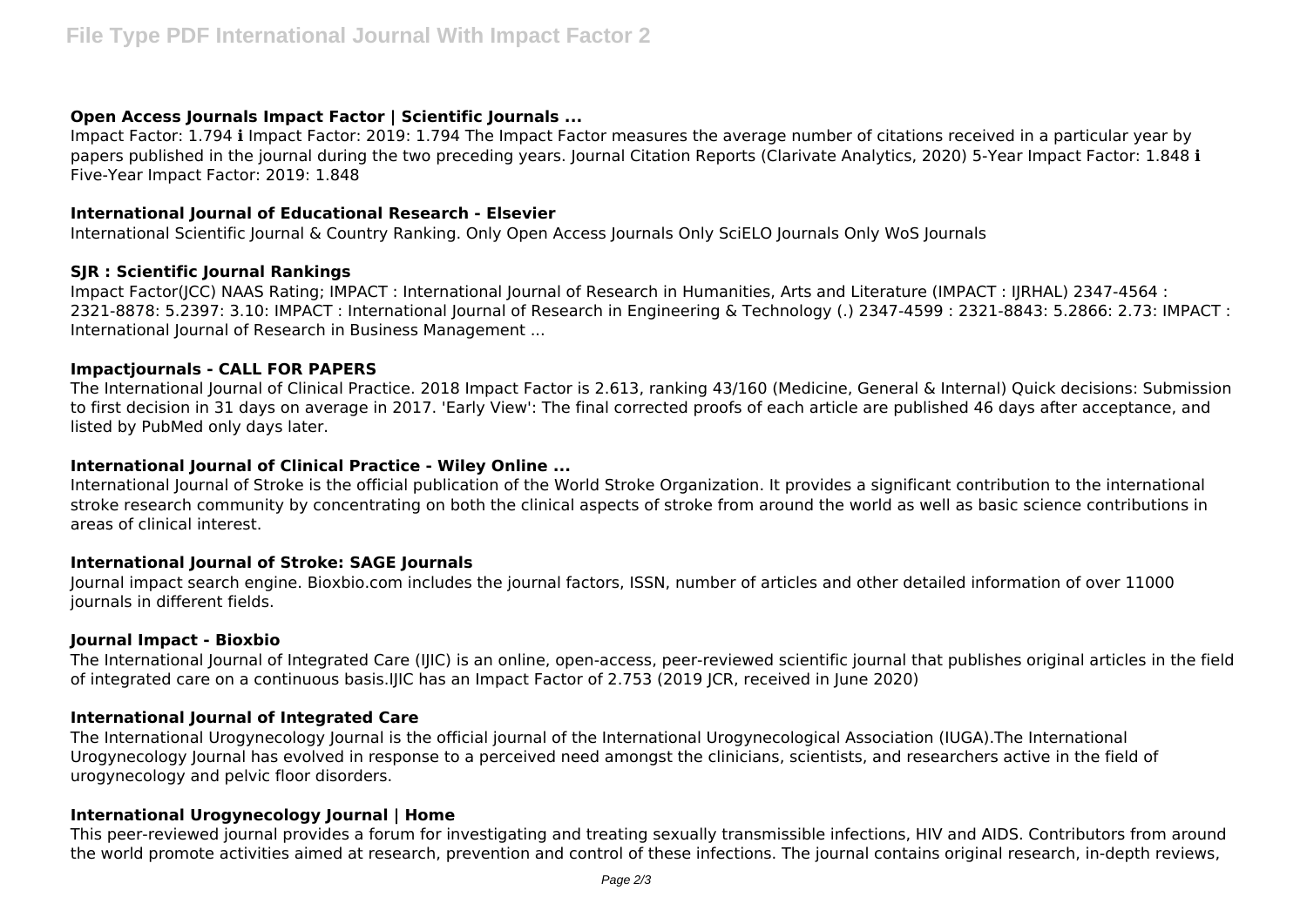# **Open Access Journals Impact Factor | Scientific Journals ...**

Impact Factor: 1.794 i Impact Factor: 2019: 1.794 The Impact Factor measures the average number of citations received in a particular year by papers published in the journal during the two preceding years. Journal Citation Reports (Clarivate Analytics, 2020) 5-Year Impact Factor: 1.848 i Five-Year Impact Factor: 2019: 1.848

## **International Journal of Educational Research - Elsevier**

International Scientific Journal & Country Ranking. Only Open Access Journals Only SciELO Journals Only WoS Journals

# **SJR : Scientific Journal Rankings**

Impact Factor(JCC) NAAS Rating; IMPACT : International Journal of Research in Humanities, Arts and Literature (IMPACT : IJRHAL) 2347-4564 : 2321-8878: 5.2397: 3.10: IMPACT : International Journal of Research in Engineering & Technology (.) 2347-4599 : 2321-8843: 5.2866: 2.73: IMPACT : International Journal of Research in Business Management ...

## **Impactjournals - CALL FOR PAPERS**

The International Journal of Clinical Practice. 2018 Impact Factor is 2.613, ranking 43/160 (Medicine, General & Internal) Quick decisions: Submission to first decision in 31 days on average in 2017. 'Early View': The final corrected proofs of each article are published 46 days after acceptance, and listed by PubMed only days later.

## **International Journal of Clinical Practice - Wiley Online ...**

International Journal of Stroke is the official publication of the World Stroke Organization. It provides a significant contribution to the international stroke research community by concentrating on both the clinical aspects of stroke from around the world as well as basic science contributions in areas of clinical interest.

# **International Journal of Stroke: SAGE Journals**

Journal impact search engine. Bioxbio.com includes the journal factors, ISSN, number of articles and other detailed information of over 11000 journals in different fields.

### **Journal Impact - Bioxbio**

The International Journal of Integrated Care (IJIC) is an online, open-access, peer-reviewed scientific journal that publishes original articles in the field of integrated care on a continuous basis.IJIC has an Impact Factor of 2.753 (2019 JCR, received in June 2020)

# **International Journal of Integrated Care**

The International Urogynecology Journal is the official journal of the International Urogynecological Association (IUGA).The International Urogynecology Journal has evolved in response to a perceived need amongst the clinicians, scientists, and researchers active in the field of urogynecology and pelvic floor disorders.

# **International Urogynecology Journal | Home**

This peer-reviewed journal provides a forum for investigating and treating sexually transmissible infections, HIV and AIDS. Contributors from around the world promote activities aimed at research, prevention and control of these infections. The journal contains original research, in-depth reviews,